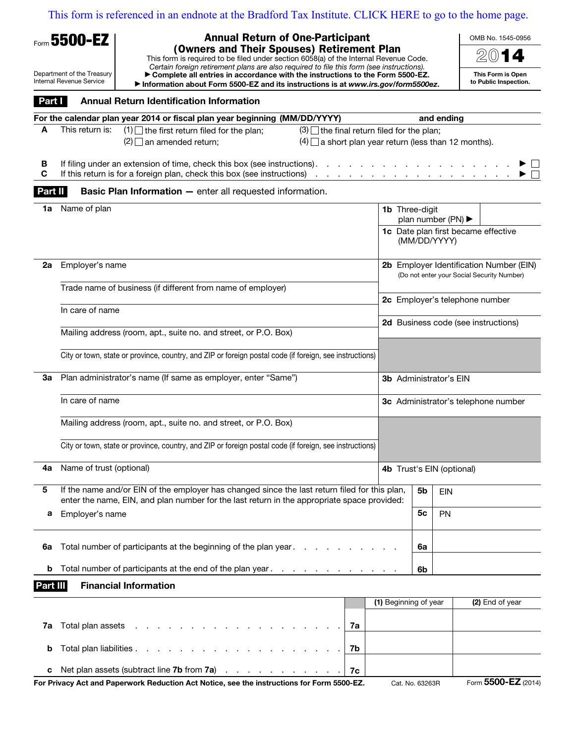[This form is referenced in an endnote at the Bradford Tax Institute. CLICK HERE to go to the home page.](bradfordtaxinstitute.com)

| <b>Annual Return of One-Participant</b><br>Form 5500-EZ                                                                                                                                                                                                                                                                  |                                                                                                                                                                                                  |    |                       |                                             |              | OMB No. 1545-0956                                                                     |  |  |  |  |  |  |
|--------------------------------------------------------------------------------------------------------------------------------------------------------------------------------------------------------------------------------------------------------------------------------------------------------------------------|--------------------------------------------------------------------------------------------------------------------------------------------------------------------------------------------------|----|-----------------------|---------------------------------------------|--------------|---------------------------------------------------------------------------------------|--|--|--|--|--|--|
|                                                                                                                                                                                                                                                                                                                          | (Owners and Their Spouses) Retirement Plan<br>This form is required to be filed under section 6058(a) of the Internal Revenue Code.                                                              |    |                       |                                             |              |                                                                                       |  |  |  |  |  |  |
| Certain foreign retirement plans are also required to file this form (see instructions).<br>Department of the Treasury<br>Complete all entries in accordance with the instructions to the Form 5500-EZ.<br>Internal Revenue Service<br>Information about Form 5500-EZ and its instructions is at www.irs.gov/form5500ez. |                                                                                                                                                                                                  |    |                       |                                             |              | This Form is Open<br>to Public Inspection.                                            |  |  |  |  |  |  |
| Part I                                                                                                                                                                                                                                                                                                                   | <b>Annual Return Identification Information</b>                                                                                                                                                  |    |                       |                                             |              |                                                                                       |  |  |  |  |  |  |
|                                                                                                                                                                                                                                                                                                                          | For the calendar plan year 2014 or fiscal plan year beginning (MM/DD/YYYY)                                                                                                                       |    |                       |                                             | and ending   |                                                                                       |  |  |  |  |  |  |
| A                                                                                                                                                                                                                                                                                                                        | This return is:<br>$(1)$ the first return filed for the plan;<br>$(3)$ the final return filed for the plan;<br>$(2)$ an amended return;<br>$(4)$ a short plan year return (less than 12 months). |    |                       |                                             |              |                                                                                       |  |  |  |  |  |  |
| в<br>C                                                                                                                                                                                                                                                                                                                   | If filing under an extension of time, check this box (see instructions).<br>If this return is for a foreign plan, check this box (see instructions)                                              |    |                       |                                             |              |                                                                                       |  |  |  |  |  |  |
| Part II                                                                                                                                                                                                                                                                                                                  | <b>Basic Plan Information - enter all requested information.</b>                                                                                                                                 |    |                       |                                             |              |                                                                                       |  |  |  |  |  |  |
| 1a                                                                                                                                                                                                                                                                                                                       | Name of plan                                                                                                                                                                                     |    |                       | <b>1b</b> Three-digit<br>plan number (PN) ▶ |              |                                                                                       |  |  |  |  |  |  |
|                                                                                                                                                                                                                                                                                                                          |                                                                                                                                                                                                  |    |                       |                                             | (MM/DD/YYYY) | 1c Date plan first became effective                                                   |  |  |  |  |  |  |
| 2a                                                                                                                                                                                                                                                                                                                       | Employer's name                                                                                                                                                                                  |    |                       |                                             |              | 2b Employer Identification Number (EIN)<br>(Do not enter your Social Security Number) |  |  |  |  |  |  |
|                                                                                                                                                                                                                                                                                                                          | Trade name of business (if different from name of employer)                                                                                                                                      |    |                       |                                             |              | 2c Employer's telephone number                                                        |  |  |  |  |  |  |
|                                                                                                                                                                                                                                                                                                                          | In care of name                                                                                                                                                                                  |    |                       |                                             |              | 2d Business code (see instructions)                                                   |  |  |  |  |  |  |
|                                                                                                                                                                                                                                                                                                                          | Mailing address (room, apt., suite no. and street, or P.O. Box)                                                                                                                                  |    |                       |                                             |              |                                                                                       |  |  |  |  |  |  |
|                                                                                                                                                                                                                                                                                                                          | City or town, state or province, country, and ZIP or foreign postal code (if foreign, see instructions)                                                                                          |    |                       |                                             |              |                                                                                       |  |  |  |  |  |  |
| За                                                                                                                                                                                                                                                                                                                       | Plan administrator's name (If same as employer, enter "Same")                                                                                                                                    |    |                       | <b>3b</b> Administrator's EIN               |              |                                                                                       |  |  |  |  |  |  |
|                                                                                                                                                                                                                                                                                                                          | In care of name                                                                                                                                                                                  |    |                       |                                             |              | 3c Administrator's telephone number                                                   |  |  |  |  |  |  |
|                                                                                                                                                                                                                                                                                                                          | Mailing address (room, apt., suite no. and street, or P.O. Box)                                                                                                                                  |    |                       |                                             |              |                                                                                       |  |  |  |  |  |  |
|                                                                                                                                                                                                                                                                                                                          | City or town, state or province, country, and ZIP or foreign postal code (if foreign, see instructions)                                                                                          |    |                       |                                             |              |                                                                                       |  |  |  |  |  |  |
| 4a                                                                                                                                                                                                                                                                                                                       | Name of trust (optional)                                                                                                                                                                         |    |                       |                                             |              | 4b Trust's EIN (optional)                                                             |  |  |  |  |  |  |
| 5                                                                                                                                                                                                                                                                                                                        | If the name and/or EIN of the employer has changed since the last return filed for this plan,<br>enter the name, EIN, and plan number for the last return in the appropriate space provided:     |    |                       | 5 <sub>b</sub>                              | EIN          |                                                                                       |  |  |  |  |  |  |
| a                                                                                                                                                                                                                                                                                                                        | Employer's name                                                                                                                                                                                  |    |                       | 5c                                          | <b>PN</b>    |                                                                                       |  |  |  |  |  |  |
| 6а                                                                                                                                                                                                                                                                                                                       | Total number of participants at the beginning of the plan year.                                                                                                                                  |    |                       | 6a                                          |              |                                                                                       |  |  |  |  |  |  |
| b                                                                                                                                                                                                                                                                                                                        | Total number of participants at the end of the plan year                                                                                                                                         |    |                       | 6b                                          |              |                                                                                       |  |  |  |  |  |  |
| Part III                                                                                                                                                                                                                                                                                                                 | <b>Financial Information</b>                                                                                                                                                                     |    |                       |                                             |              |                                                                                       |  |  |  |  |  |  |
|                                                                                                                                                                                                                                                                                                                          |                                                                                                                                                                                                  |    | (1) Beginning of year |                                             |              | (2) End of year                                                                       |  |  |  |  |  |  |
| 7a                                                                                                                                                                                                                                                                                                                       | Total plan assets                                                                                                                                                                                | 7a |                       |                                             |              |                                                                                       |  |  |  |  |  |  |
| b                                                                                                                                                                                                                                                                                                                        | Total plan liabilities                                                                                                                                                                           | 7b |                       |                                             |              |                                                                                       |  |  |  |  |  |  |

c Net plan assets (subtract line 7b from 7a)  $\ldots$  . . . . . . . . . . . . . . 7c For Privacy Act and Paperwork Reduction Act Notice, see the instructions for Form 5500-EZ. Cat. No. 63263R Form 5500-EZ (2014)